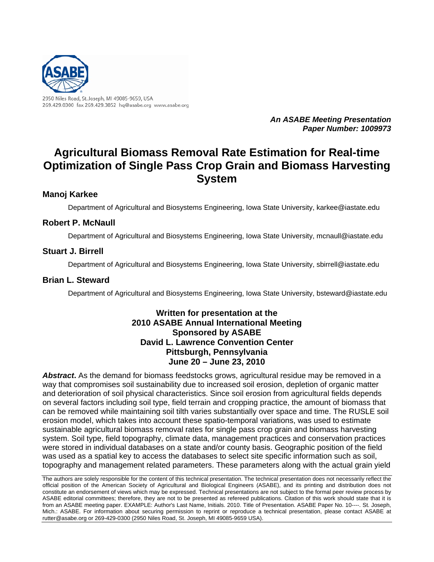

2950 Niles Road, St. Joseph, MI 49085-9659, USA 269.429.0300 fax 269.429.3852 hq@asabe.org www.asabe.org

> *An ASABE Meeting Presentation Paper Number: 1009973*

# **Agricultural Biomass Removal Rate Estimation for Real-time Optimization of Single Pass Crop Grain and Biomass Harvesting System**

### **Manoj Karkee**

Department of Agricultural and Biosystems Engineering, Iowa State University, karkee@iastate.edu

### **Robert P. McNaull**

Department of Agricultural and Biosystems Engineering, Iowa State University, mcnaull@iastate.edu

### **Stuart J. Birrell**

Department of Agricultural and Biosystems Engineering, Iowa State University, sbirrell@iastate.edu

### **Brian L. Steward**

Department of Agricultural and Biosystems Engineering, Iowa State University, bsteward@iastate.edu

### **Written for presentation at the 2010 ASABE Annual International Meeting Sponsored by ASABE David L. Lawrence Convention Center Pittsburgh, Pennsylvania June 20 – June 23, 2010**

**Abstract.** As the demand for biomass feedstocks grows, agricultural residue may be removed in a way that compromises soil sustainability due to increased soil erosion, depletion of organic matter and deterioration of soil physical characteristics. Since soil erosion from agricultural fields depends on several factors including soil type, field terrain and cropping practice, the amount of biomass that can be removed while maintaining soil tilth varies substantially over space and time. The RUSLE soil erosion model, which takes into account these spatio-temporal variations, was used to estimate sustainable agricultural biomass removal rates for single pass crop grain and biomass harvesting system. Soil type, field topography, climate data, management practices and conservation practices were stored in individual databases on a state and/or county basis. Geographic position of the field was used as a spatial key to access the databases to select site specific information such as soil, topography and management related parameters. These parameters along with the actual grain yield

The authors are solely responsible for the content of this technical presentation. The technical presentation does not necessarily reflect the official position of the American Society of Agricultural and Biological Engineers (ASABE), and its printing and distribution does not constitute an endorsement of views which may be expressed. Technical presentations are not subject to the formal peer review process by ASABE editorial committees; therefore, they are not to be presented as refereed publications. Citation of this work should state that it is from an ASABE meeting paper. EXAMPLE: Author's Last Name, Initials. 2010. Title of Presentation. ASABE Paper No. 10----. St. Joseph, Mich.: ASABE. For information about securing permission to reprint or reproduce a technical presentation, please contact ASABE at rutter@asabe.org or 269-429-0300 (2950 Niles Road, St. Joseph, MI 49085-9659 USA).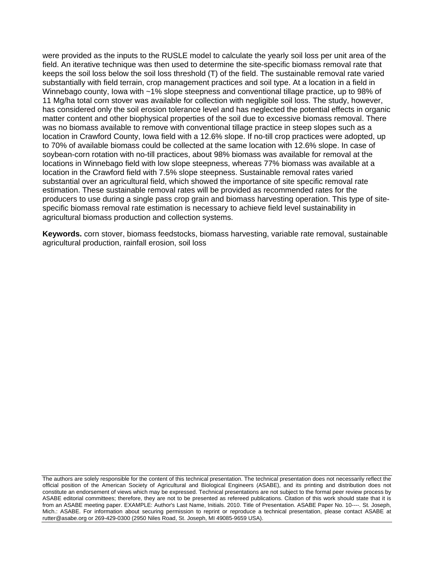were provided as the inputs to the RUSLE model to calculate the yearly soil loss per unit area of the field. An iterative technique was then used to determine the site-specific biomass removal rate that keeps the soil loss below the soil loss threshold (T) of the field. The sustainable removal rate varied substantially with field terrain, crop management practices and soil type. At a location in a field in Winnebago county, lowa with ~1% slope steepness and conventional tillage practice, up to 98% of 11 Mg/ha total corn stover was available for collection with negligible soil loss. The study, however, has considered only the soil erosion tolerance level and has neglected the potential effects in organic matter content and other biophysical properties of the soil due to excessive biomass removal. There was no biomass available to remove with conventional tillage practice in steep slopes such as a location in Crawford County, Iowa field with a 12.6% slope. If no-till crop practices were adopted, up to 70% of available biomass could be collected at the same location with 12.6% slope. In case of soybean-corn rotation with no-till practices, about 98% biomass was available for removal at the locations in Winnebago field with low slope steepness, whereas 77% biomass was available at a location in the Crawford field with 7.5% slope steepness. Sustainable removal rates varied substantial over an agricultural field, which showed the importance of site specific removal rate estimation. These sustainable removal rates will be provided as recommended rates for the producers to use during a single pass crop grain and biomass harvesting operation. This type of sitespecific biomass removal rate estimation is necessary to achieve field level sustainability in agricultural biomass production and collection systems.

**Keywords.** corn stover, biomass feedstocks, biomass harvesting, variable rate removal, sustainable agricultural production, rainfall erosion, soil loss

The authors are solely responsible for the content of this technical presentation. The technical presentation does not necessarily reflect the official position of the American Society of Agricultural and Biological Engineers (ASABE), and its printing and distribution does not constitute an endorsement of views which may be expressed. Technical presentations are not subject to the formal peer review process by ASABE editorial committees; therefore, they are not to be presented as refereed publications. Citation of this work should state that it is from an ASABE meeting paper. EXAMPLE: Author's Last Name, Initials. 2010. Title of Presentation. ASABE Paper No. 10----. St. Joseph, Mich.: ASABE. For information about securing permission to reprint or reproduce a technical presentation, please contact ASABE at rutter@asabe.org or 269-429-0300 (2950 Niles Road, St. Joseph, MI 49085-9659 USA).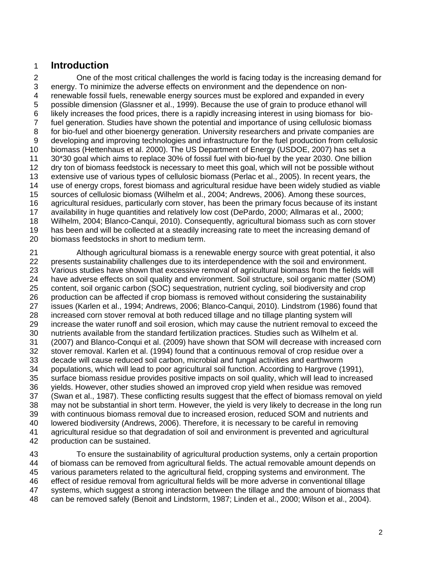## 1 **Introduction**

2 One of the most critical challenges the world is facing today is the increasing demand for 3 energy. To minimize the adverse effects on environment and the dependence on non-4 renewable fossil fuels, renewable energy sources must be explored and expanded in every 5 possible dimension (Glassner et al., 1999). Because the use of grain to produce ethanol will 6 likely increases the food prices, there is a rapidly increasing interest in using biomass for bio-7 fuel generation. Studies have shown the potential and importance of using cellulosic biomass 8 for bio-fuel and other bioenergy generation. University researchers and private companies are 9 developing and improving technologies and infrastructure for the fuel production from cellulosic 10 biomass (Hettenhaus et al. 2000). The US Department of Energy (USDOE, 2007) has set a 11 30\*30 goal which aims to replace 30% of fossil fuel with bio-fuel by the year 2030. One billion 12 dry ton of biomass feedstock is necessary to meet this goal, which will not be possible without 13 extensive use of various types of cellulosic biomass (Perlac et al., 2005). In recent years, the 14 use of energy crops, forest biomass and agricultural residue have been widely studied as viable 15 sources of cellulosic biomass (Wilhelm et al., 2004; Andrews, 2006). Among these sources, 16 agricultural residues, particularly corn stover, has been the primary focus because of its instant 17 availability in huge quantities and relatively low cost (DePardo, 2000; Allmaras et al., 2000; 18 Wilhelm, 2004; Blanco-Canqui, 2010). Consequently, agricultural biomass such as corn stover 19 has been and will be collected at a steadily increasing rate to meet the increasing demand of 20 biomass feedstocks in short to medium term.

21 Although agricultural biomass is a renewable energy source with great potential, it also 22 presents sustainability challenges due to its interdependence with the soil and environment. 23 Various studies have shown that excessive removal of agricultural biomass from the fields will 24 have adverse effects on soil quality and environment. Soil structure, soil organic matter (SOM) 25 content, soil organic carbon (SOC) sequestration, nutrient cycling, soil biodiversity and crop 26 production can be affected if crop biomass is removed without considering the sustainability 27 issues (Karlen et al., 1994; Andrews, 2006; Blanco-Canqui, 2010). Lindstrom (1986) found that 28 increased corn stover removal at both reduced tillage and no tillage planting system will 29 increase the water runoff and soil erosion, which may cause the nutrient removal to exceed the 30 nutrients available from the standard fertilization practices. Studies such as Wilhelm et al. 31 (2007) and Blanco-Conqui et al. (2009) have shown that SOM will decrease with increased corn 32 stover removal. Karlen et al. (1994) found that a continuous removal of crop residue over a 33 decade will cause reduced soil carbon, microbial and fungal activities and earthworm 34 populations, which will lead to poor agricultural soil function. According to Hargrove (1991), 35 surface biomass residue provides positive impacts on soil quality, which will lead to increased 36 yields. However, other studies showed an improved crop yield when residue was removed 37 (Swan et al., 1987). These conflicting results suggest that the effect of biomass removal on yield 38 may not be substantial in short term. However, the yield is very likely to decrease in the long run 39 with continuous biomass removal due to increased erosion, reduced SOM and nutrients and 40 lowered biodiversity (Andrews, 2006). Therefore, it is necessary to be careful in removing 41 agricultural residue so that degradation of soil and environment is prevented and agricultural 42 production can be sustained.

43 To ensure the sustainability of agricultural production systems, only a certain proportion 44 of biomass can be removed from agricultural fields. The actual removable amount depends on 45 various parameters related to the agricultural field, cropping systems and environment. The 46 effect of residue removal from agricultural fields will be more adverse in conventional tillage 47 systems, which suggest a strong interaction between the tillage and the amount of biomass that 48 can be removed safely (Benoit and Lindstorm, 1987; Linden et al., 2000; Wilson et al., 2004).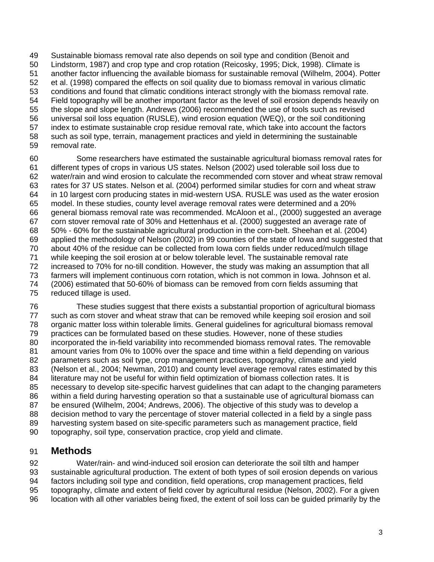49 Sustainable biomass removal rate also depends on soil type and condition (Benoit and 50 Lindstorm, 1987) and crop type and crop rotation (Reicosky, 1995; Dick, 1998). Climate is 51 another factor influencing the available biomass for sustainable removal (Wilhelm, 2004). Potter 52 et al. (1998) compared the effects on soil quality due to biomass removal in various climatic 53 conditions and found that climatic conditions interact strongly with the biomass removal rate. 54 Field topography will be another important factor as the level of soil erosion depends heavily on 55 the slope and slope length. Andrews (2006) recommended the use of tools such as revised 56 universal soil loss equation (RUSLE), wind erosion equation (WEQ), or the soil conditioning 57 index to estimate sustainable crop residue removal rate, which take into account the factors 58 such as soil type, terrain, management practices and yield in determining the sustainable 59 removal rate.

60 Some researchers have estimated the sustainable agricultural biomass removal rates for 61 different types of crops in various US states. Nelson (2002) used tolerable soil loss due to 62 water/rain and wind erosion to calculate the recommended corn stover and wheat straw removal 63 rates for 37 US states. Nelson et al. (2004) performed similar studies for corn and wheat straw 64 in 10 largest corn producing states in mid-western USA. RUSLE was used as the water erosion 65 model. In these studies, county level average removal rates were determined and a 20% 66 general biomass removal rate was recommended. McAloon et al., (2000) suggested an average 67 corn stover removal rate of 30% and Hettenhaus et al. (2000) suggested an average rate of 68 50% - 60% for the sustainable agricultural production in the corn-belt. Sheehan et al. (2004) 69 applied the methodology of Nelson (2002) in 99 counties of the state of Iowa and suggested that 70 about 40% of the residue can be collected from Iowa corn fields under reduced/mulch tillage 71 while keeping the soil erosion at or below tolerable level. The sustainable removal rate 72 increased to 70% for no-till condition. However, the study was making an assumption that all 73 farmers will implement continuous corn rotation, which is not common in Iowa. Johnson et al. 74 (2006) estimated that 50-60% of biomass can be removed from corn fields assuming that 75 reduced tillage is used.

76 These studies suggest that there exists a substantial proportion of agricultural biomass 77 such as corn stover and wheat straw that can be removed while keeping soil erosion and soil 78 organic matter loss within tolerable limits. General guidelines for agricultural biomass removal 79 practices can be formulated based on these studies. However, none of these studies 80 incorporated the in-field variability into recommended biomass removal rates. The removable 81 amount varies from 0% to 100% over the space and time within a field depending on various 82 parameters such as soil type, crop management practices, topography, climate and yield 83 (Nelson et al., 2004; Newman, 2010) and county level average removal rates estimated by this 84 literature may not be useful for within field optimization of biomass collection rates. It is 85 necessary to develop site-specific harvest guidelines that can adapt to the changing parameters 86 within a field during harvesting operation so that a sustainable use of agricultural biomass can 87 be ensured (Wilhelm, 2004; Andrews, 2006). The objective of this study was to develop a 88 decision method to vary the percentage of stover material collected in a field by a single pass 89 harvesting system based on site-specific parameters such as management practice, field 90 topography, soil type, conservation practice, crop yield and climate.

## 91 **Methods**

92 Water/rain- and wind-induced soil erosion can deteriorate the soil tilth and hamper 93 sustainable agricultural production. The extent of both types of soil erosion depends on various 94 factors including soil type and condition, field operations, crop management practices, field 95 topography, climate and extent of field cover by agricultural residue (Nelson, 2002). For a given 96 location with all other variables being fixed, the extent of soil loss can be guided primarily by the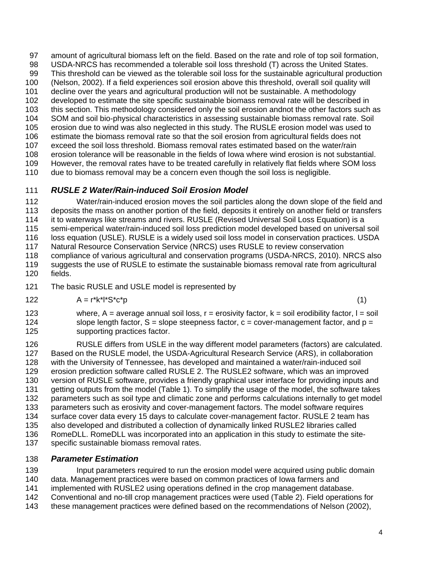97 amount of agricultural biomass left on the field. Based on the rate and role of top soil formation,

98 USDA-NRCS has recommended a tolerable soil loss threshold (T) across the United States.

99 This threshold can be viewed as the tolerable soil loss for the sustainable agricultural production 100 (Nelson, 2002). If a field experiences soil erosion above this threshold, overall soil quality will

- 101 decline over the years and agricultural production will not be sustainable. A methodology
- 102 developed to estimate the site specific sustainable biomass removal rate will be described in
- 103 this section. This methodology considered only the soil erosion andnot the other factors such as
- 104 SOM and soil bio-physical characteristics in assessing sustainable biomass removal rate. Soil
- 105 erosion due to wind was also neglected in this study. The RUSLE erosion model was used to
- 106 estimate the biomass removal rate so that the soil erosion from agricultural fields does not
- 107 exceed the soil loss threshold. Biomass removal rates estimated based on the water/rain
- 108 erosion tolerance will be reasonable in the fields of Iowa where wind erosion is not substantial. 109 However, the removal rates have to be treated carefully in relatively flat fields where SOM loss
- 110 due to biomass removal may be a concern even though the soil loss is negligible.

## 111 *RUSLE 2 Water/Rain-induced Soil Erosion Model*

112 Water/rain-induced erosion moves the soil particles along the down slope of the field and 113 deposits the mass on another portion of the field, deposits it entirely on another field or transfers 114 it to waterways like streams and rivers. RUSLE (Revised Universal Soil Loss Equation) is a 115 semi-emperical water/rain-induced soil loss prediction model developed based on universal soil 116 loss equation (USLE). RUSLE is a widely used soil loss model in conservation practices. USDA 117 Natural Resource Conservation Service (NRCS) uses RUSLE to review conservation 118 compliance of various agricultural and conservation programs (USDA-NRCS, 2010). NRCS also 119 suggests the use of RUSLE to estimate the sustainable biomass removal rate from agricultural 120 fields.

- 121 The basic RUSLE and USLE model is represented by
- 122  $A = r^*k^*l^*S^*c^*p$  (1)

123 where,  $A =$  average annual soil loss,  $r =$  erosivity factor,  $k =$  soil erodibility factor,  $l =$  soil 124 slope length factor,  $S =$  slope steepness factor,  $c =$  cover-management factor, and  $p =$ 125 supporting practices factor.

126 RUSLE differs from USLE in the way different model parameters (factors) are calculated. 127 Based on the RUSLE model, the USDA-Agricultural Research Service (ARS), in collaboration 128 with the University of Tennessee, has developed and maintained a water/rain-induced soil 129 erosion prediction software called RUSLE 2. The RUSLE2 software, which was an improved 130 version of RUSLE software, provides a friendly graphical user interface for providing inputs and 131 getting outputs from the model (Table 1). To simplify the usage of the model, the software takes 132 parameters such as soil type and climatic zone and performs calculations internally to get model 133 parameters such as erosivity and cover-management factors. The model software requires 134 surface cover data every 15 days to calculate cover-management factor. RUSLE 2 team has 135 also developed and distributed a collection of dynamically linked RUSLE2 libraries called 136 RomeDLL. RomeDLL was incorporated into an application in this study to estimate the site-137 specific sustainable biomass removal rates.

## 138 *Parameter Estimation*

139 Input parameters required to run the erosion model were acquired using public domain 140 data. Management practices were based on common practices of Iowa farmers and 141 implemented with RUSLE2 using operations defined in the crop management database. 142 Conventional and no-till crop management practices were used (Table 2). Field operations for 143 these management practices were defined based on the recommendations of Nelson (2002),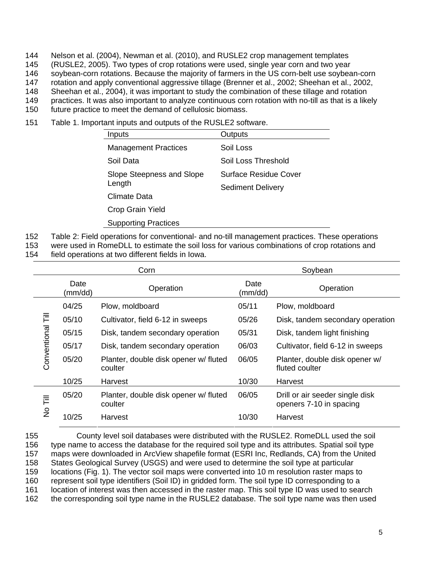- 144 Nelson et al. (2004), Newman et al. (2010), and RUSLE2 crop management templates
- 145 (RUSLE2, 2005). Two types of crop rotations were used, single year corn and two year
- 146 soybean-corn rotations. Because the majority of farmers in the US corn-belt use soybean-corn<br>147 rotation and apply conventional aggressive tillage (Brenner et al., 2002; Sheehan et al., 2002,
- rotation and apply conventional aggressive tillage (Brenner et al., 2002; Sheehan et al., 2002,
- 148 Sheehan et al., 2004), it was important to study the combination of these tillage and rotation
- 149 practices. It was also important to analyze continuous corn rotation with no-till as that is a likely
- 150 future practice to meet the demand of cellulosic biomass.
- 151 Table 1. Important inputs and outputs of the RUSLE2 software.

| Inputs                      | Outputs                  |  |  |
|-----------------------------|--------------------------|--|--|
| <b>Management Practices</b> | Soil Loss                |  |  |
| Soil Data                   | Soil Loss Threshold      |  |  |
| Slope Steepness and Slope   | Surface Residue Cover    |  |  |
| Length                      | <b>Sediment Delivery</b> |  |  |
| Climate Data                |                          |  |  |
| <b>Crop Grain Yield</b>     |                          |  |  |
| <b>Supporting Practices</b> |                          |  |  |

152 Table 2: Field operations for conventional- and no-till management practices. These operations

153 were used in RomeDLL to estimate the soil loss for various combinations of crop rotations and<br>154 field operations at two different fields in Iowa.

field operations at two different fields in Iowa.

|                   |                 | Corn                                             | Soybean         |                                                            |  |  |
|-------------------|-----------------|--------------------------------------------------|-----------------|------------------------------------------------------------|--|--|
|                   | Date<br>(mm/dd) | Operation                                        | Date<br>(mm/dd) | Operation                                                  |  |  |
| 戸<br>Conventional | 04/25           | Plow, moldboard                                  | 05/11           | Plow, moldboard                                            |  |  |
|                   | 05/10           | Cultivator, field 6-12 in sweeps                 | 05/26           | Disk, tandem secondary operation                           |  |  |
|                   | 05/15           | Disk, tandem secondary operation                 | 05/31           | Disk, tandem light finishing                               |  |  |
|                   | 05/17           | Disk, tandem secondary operation                 | 06/03           | Cultivator, field 6-12 in sweeps                           |  |  |
|                   | 05/20           | Planter, double disk opener w/ fluted<br>coulter | 06/05           | Planter, double disk opener w/<br>fluted coulter           |  |  |
|                   | 10/25           | Harvest                                          | 10/30           | Harvest                                                    |  |  |
| No Till           | 05/20           | Planter, double disk opener w/ fluted<br>coulter | 06/05           | Drill or air seeder single disk<br>openers 7-10 in spacing |  |  |
|                   | 10/25           | Harvest                                          | 10/30           | Harvest                                                    |  |  |

155 County level soil databases were distributed with the RUSLE2. RomeDLL used the soil 156 type name to access the database for the required soil type and its attributes. Spatial soil type 157 maps were downloaded in ArcView shapefile format (ESRI Inc, Redlands, CA) from the United 158 States Geological Survey (USGS) and were used to determine the soil type at particular 159 locations (Fig. 1). The vector soil maps were converted into 10 m resolution raster maps to 160 represent soil type identifiers (Soil ID) in gridded form. The soil type ID corresponding to a 161 location of interest was then accessed in the raster map. This soil type ID was used to search 162 the corresponding soil type name in the RUSLE2 database. The soil type name was then used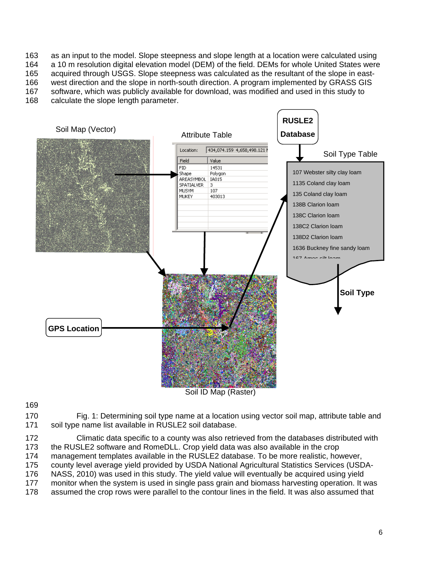163 as an input to the model. Slope steepness and slope length at a location were calculated using 164 a 10 m resolution digital elevation model (DEM) of the field. DEMs for whole United States were

165 acquired through USGS. Slope steepness was calculated as the resultant of the slope in east-

166 west direction and the slope in north-south direction. A program implemented by GRASS GIS

167 software, which was publicly available for download, was modified and used in this study to

168 calculate the slope length parameter.



Soil ID Map (Raster)

169

170 Fig. 1: Determining soil type name at a location using vector soil map, attribute table and 171 soil type name list available in RUSLE2 soil database.

172 Climatic data specific to a county was also retrieved from the databases distributed with

173 the RUSLE2 software and RomeDLL. Crop yield data was also available in the crop

174 management templates available in the RUSLE2 database. To be more realistic, however,

175 county level average yield provided by USDA National Agricultural Statistics Services (USDA-

176 NASS, 2010) was used in this study. The yield value will eventually be acquired using yield

177 monitor when the system is used in single pass grain and biomass harvesting operation. It was

178 assumed the crop rows were parallel to the contour lines in the field. It was also assumed that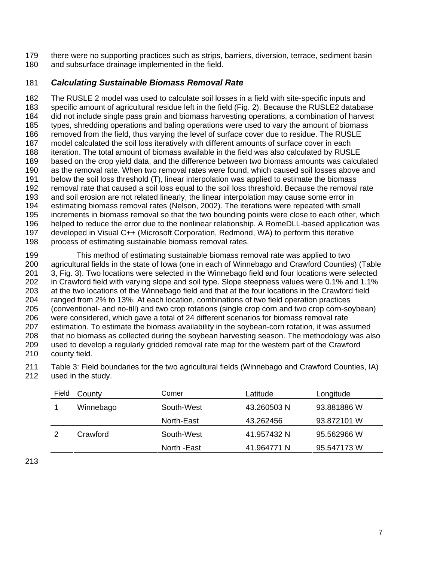179 there were no supporting practices such as strips, barriers, diversion, terrace, sediment basin 180 and subsurface drainage implemented in the field.

### 181 *Calculating Sustainable Biomass Removal Rate*

182 The RUSLE 2 model was used to calculate soil losses in a field with site-specific inputs and 183 specific amount of agricultural residue left in the field (Fig. 2). Because the RUSLE2 database 184 did not include single pass grain and biomass harvesting operations, a combination of harvest 185 types, shredding operations and baling operations were used to vary the amount of biomass 186 removed from the field, thus varying the level of surface cover due to residue. The RUSLE 187 model calculated the soil loss iteratively with different amounts of surface cover in each 188 iteration. The total amount of biomass available in the field was also calculated by RUSLE 189 based on the crop yield data, and the difference between two biomass amounts was calculated 190 as the removal rate. When two removal rates were found, which caused soil losses above and 191 below the soil loss threshold (T), linear interpolation was applied to estimate the biomass 192 removal rate that caused a soil loss equal to the soil loss threshold. Because the removal rate 193 and soil erosion are not related linearly, the linear interpolation may cause some error in 194 estimating biomass removal rates (Nelson, 2002). The iterations were repeated with small 195 increments in biomass removal so that the two bounding points were close to each other, which 196 helped to reduce the error due to the nonlinear relationship. A RomeDLL-based application was 197 developed in Visual C++ (Microsoft Corporation, Redmond, WA) to perform this iterative 198 process of estimating sustainable biomass removal rates.

199 This method of estimating sustainable biomass removal rate was applied to two 200 agricultural fields in the state of Iowa (one in each of Winnebago and Crawford Counties) (Table 201 3, Fig. 3). Two locations were selected in the Winnebago field and four locations were selected 202 in Crawford field with varying slope and soil type. Slope steepness values were 0.1% and 1.1% 203 at the two locations of the Winnebago field and that at the four locations in the Crawford field 204 ranged from 2% to 13%. At each location, combinations of two field operation practices 205 (conventional- and no-till) and two crop rotations (single crop corn and two crop corn-soybean) 206 were considered, which gave a total of 24 different scenarios for biomass removal rate 207 estimation. To estimate the biomass availability in the soybean-corn rotation, it was assumed 208 that no biomass as collected during the soybean harvesting season. The methodology was also 209 used to develop a regularly gridded removal rate map for the western part of the Crawford 210 county field.

211 Table 3: Field boundaries for the two agricultural fields (Winnebago and Crawford Counties, IA) 212 used in the study.

| Field | County    | Corner      | Latitude    | Longitude   |  |
|-------|-----------|-------------|-------------|-------------|--|
|       | Winnebago | South-West  | 43.260503 N | 93.881886 W |  |
|       |           | North-East  | 43.262456   | 93.872101 W |  |
| っ     | Crawford  | South-West  | 41.957432 N | 95.562966 W |  |
|       |           | North -East | 41.964771 N | 95.547173 W |  |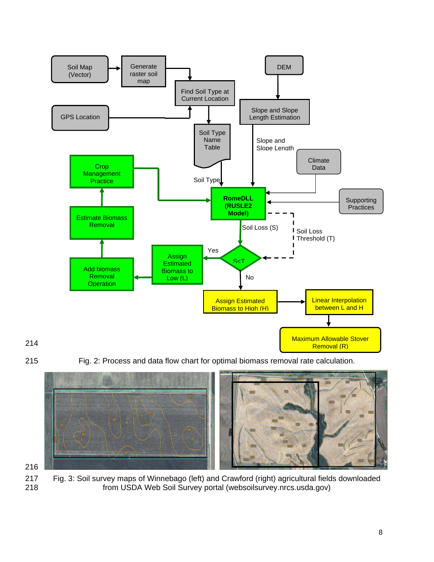



214

215 Fig. 2: Process and data flow chart for optimal biomass removal rate calculation.



217 Fig. 3: Soil survey maps of Winnebago (left) and Crawford (right) agricultural fields downloaded 218 **From USDA Web Soil Survey portal (websoilsurvey.nrcs.usda.gov)**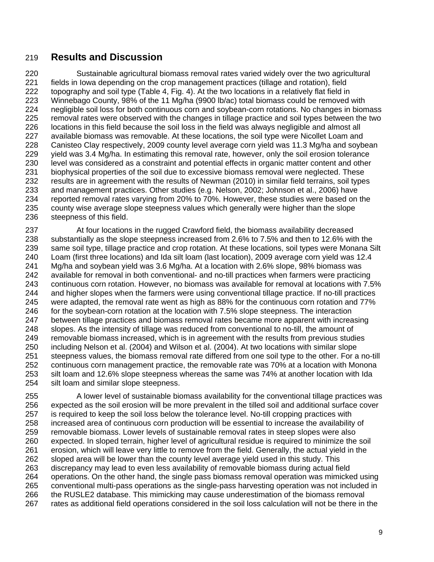## 219 **Results and Discussion**

220 Sustainable agricultural biomass removal rates varied widely over the two agricultural 221 fields in Iowa depending on the crop management practices (tillage and rotation), field 222 topography and soil type (Table 4, Fig. 4). At the two locations in a relatively flat field in 223 Winnebago County, 98% of the 11 Mg/ha (9900 lb/ac) total biomass could be removed with 224 negligible soil loss for both continuous corn and soybean-corn rotations. No changes in biomass 225 removal rates were observed with the changes in tillage practice and soil types between the two 226 locations in this field because the soil loss in the field was always negligible and almost all 227 available biomass was removable. At these locations, the soil type were Nicollet Loam and 228 Canisteo Clay respectively, 2009 county level average corn yield was 11.3 Mg/ha and soybean 229 yield was 3.4 Mg/ha. In estimating this removal rate, however, only the soil erosion tolerance 230 level was considered as a constraint and potential effects in organic matter content and other 231 biophysical properties of the soil due to excessive biomass removal were neglected. These 232 results are in agreement with the results of Newman (2010) in similar field terrains, soil types 233 and management practices. Other studies (e.g. Nelson, 2002; Johnson et al., 2006) have 234 reported removal rates varying from 20% to 70%. However, these studies were based on the 235 county wise average slope steepness values which generally were higher than the slope 236 steepness of this field.

237 At four locations in the rugged Crawford field, the biomass availability decreased 238 substantially as the slope steepness increased from 2.6% to 7.5% and then to 12.6% with the 239 same soil type, tillage practice and crop rotation. At these locations, soil types were Monana Silt 240 Loam (first three locations) and Ida silt loam (last location), 2009 average corn yield was 12.4 241 Mg/ha and soybean yield was 3.6 Mg/ha. At a location with 2.6% slope, 98% biomass was 242 available for removal in both conventional- and no-till practices when farmers were practicing 243 continuous corn rotation. However, no biomass was available for removal at locations with 7.5% 244 and higher slopes when the farmers were using conventional tillage practice. If no-till practices 245 were adapted, the removal rate went as high as 88% for the continuous corn rotation and 77% 246 for the soybean-corn rotation at the location with 7.5% slope steepness. The interaction 247 between tillage practices and biomass removal rates became more apparent with increasing 248 slopes. As the intensity of tillage was reduced from conventional to no-till, the amount of 249 removable biomass increased, which is in agreement with the results from previous studies 250 including Nelson et al. (2004) and Wilson et al. (2004). At two locations with similar slope 251 steepness values, the biomass removal rate differed from one soil type to the other. For a no-till 252 continuous corn management practice, the removable rate was 70% at a location with Monona 253 silt loam and 12.6% slope steepness whereas the same was 74% at another location with Ida 254 silt loam and similar slope steepness.

255 A lower level of sustainable biomass availability for the conventional tillage practices was 256 expected as the soil erosion will be more prevalent in the tilled soil and additional surface cover 257 is required to keep the soil loss below the tolerance level. No-till cropping practices with 258 increased area of continuous corn production will be essential to increase the availability of 259 removable biomass. Lower levels of sustainable removal rates in steep slopes were also 260 expected. In sloped terrain, higher level of agricultural residue is required to minimize the soil 261 erosion, which will leave very little to remove from the field. Generally, the actual yield in the 262 sloped area will be lower than the county level average yield used in this study. This 263 discrepancy may lead to even less availability of removable biomass during actual field 264 operations. On the other hand, the single pass biomass removal operation was mimicked using 265 conventional multi-pass operations as the single-pass harvesting operation was not included in 266 the RUSLE2 database. This mimicking may cause underestimation of the biomass removal 267 rates as additional field operations considered in the soil loss calculation will not be there in the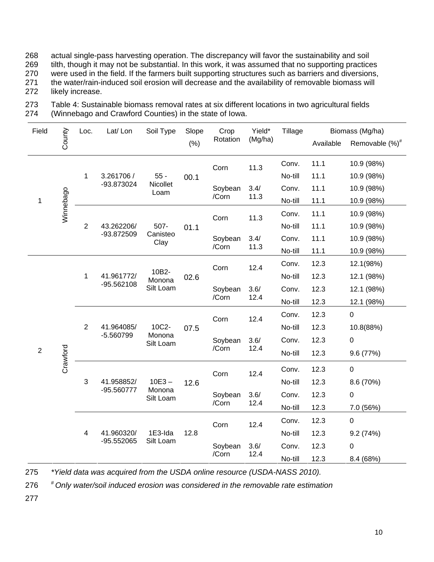268 actual single-pass harvesting operation. The discrepancy will favor the sustainability and soil 269 tilth, though it may not be substantial. In this work, it was assumed that no supporting practices

270 were used in the field. If the farmers built supporting structures such as barriers and diversions,<br>271 the water/rain-induced soil erosion will decrease and the availability of removable biomass will the water/rain-induced soil erosion will decrease and the availability of removable biomass will

272 likely increase.

273 Table 4: Sustainable biomass removal rates at six different locations in two agricultural fields 274 (Winnebago and Crawford Counties) in the state of Iowa.

| Field          | County    | Loc.                | Lat/Lon                   | Soil Type                       | Slope<br>(% ) | Crop<br>Rotation | Yield*<br>(Mg/ha) | Tillage | Biomass (Mg/ha) |                       |
|----------------|-----------|---------------------|---------------------------|---------------------------------|---------------|------------------|-------------------|---------|-----------------|-----------------------|
|                |           |                     |                           |                                 |               |                  |                   |         | Available       | Removable $(\%)^{\#}$ |
| $\mathbf{1}$   | Winnebago | $\mathbf{1}$        | 3.261706 /<br>-93.873024  | $55 -$<br>Nicollet<br>Loam      | 00.1          | Corn             | 11.3              | Conv.   | 11.1            | 10.9 (98%)            |
|                |           |                     |                           |                                 |               |                  |                   | No-till | 11.1            | 10.9 (98%)            |
|                |           |                     |                           |                                 |               | Soybean          | 3.4/<br>11.3      | Conv.   | 11.1            | 10.9 (98%)            |
|                |           |                     |                           |                                 |               | /Corn            |                   | No-till | 11.1            | 10.9 (98%)            |
|                |           | $\overline{2}$      | 43.262206/<br>-93.872509  | 507-<br>Canisteo<br>Clay        | 01.1          | Corn             | 11.3              | Conv.   | 11.1            | 10.9 (98%)            |
|                |           |                     |                           |                                 |               |                  |                   | No-till | 11.1            | 10.9 (98%)            |
|                |           |                     |                           |                                 |               | Soybean          | 3.4/<br>11.3      | Conv.   | 11.1            | 10.9 (98%)            |
|                |           |                     |                           |                                 |               | /Corn            |                   | No-till | 11.1            | 10.9 (98%)            |
| $\overline{2}$ | Crawford  | $\mathbf{1}$        | 41.961772/<br>-95.562108  | 10B2-<br>Monona<br>Silt Loam    | 02.6          | Corn             | 12.4              | Conv.   | 12.3            | 12.1(98%)             |
|                |           |                     |                           |                                 |               |                  |                   | No-till | 12.3            | 12.1 (98%)            |
|                |           |                     |                           |                                 |               | Soybean<br>/Corn | 3.6/<br>12.4      | Conv.   | 12.3            | 12.1 (98%)            |
|                |           |                     |                           |                                 |               |                  |                   | No-till | 12.3            | 12.1 (98%)            |
|                |           | $\overline{2}$      | 41.964085/<br>$-5.560799$ | 10C2-<br>Monona<br>Silt Loam    | 07.5          | Corn             | 12.4              | Conv.   | 12.3            | $\pmb{0}$             |
|                |           |                     |                           |                                 |               |                  |                   | No-till | 12.3            | 10.8(88%)             |
|                |           |                     |                           |                                 |               | Soybean<br>/Corn | 3.6/<br>12.4      | Conv.   | 12.3            | $\pmb{0}$             |
|                |           |                     |                           |                                 |               |                  |                   | No-till | 12.3            | 9.6 (77%)             |
|                |           | 3<br>$\overline{4}$ | 41.958852/<br>-95.560777  | $10E3 -$<br>Monona<br>Silt Loam | 12.6          | Corn             | 12.4              | Conv.   | 12.3            | $\pmb{0}$             |
|                |           |                     |                           |                                 |               |                  |                   | No-till | 12.3            | 8.6 (70%)             |
|                |           |                     |                           |                                 |               | Soybean<br>/Corn | 3.6/<br>12.4      | Conv.   | 12.3            | $\mathbf 0$           |
|                |           |                     |                           |                                 |               |                  |                   | No-till | 12.3            | 7.0 (56%)             |
|                |           |                     | 41.960320/<br>-95.552065  | 1E3-Ida<br>Silt Loam            | 12.8          | Corn             | 12.4              | Conv.   | 12.3            | $\pmb{0}$             |
|                |           |                     |                           |                                 |               |                  |                   | No-till | 12.3            | 9.2(74%)              |
|                |           |                     |                           |                                 |               | Soybean<br>/Corn | 3.6/              | Conv.   | 12.3            | $\pmb{0}$             |
|                |           |                     |                           |                                 |               |                  | 12.4              | No-till | 12.3            | 8.4 (68%)             |

275 *\*Yield data was acquired from the USDA online resource (USDA-NASS 2010).* 

*#* 276 *Only water/soil induced erosion was considered in the removable rate estimation* 

277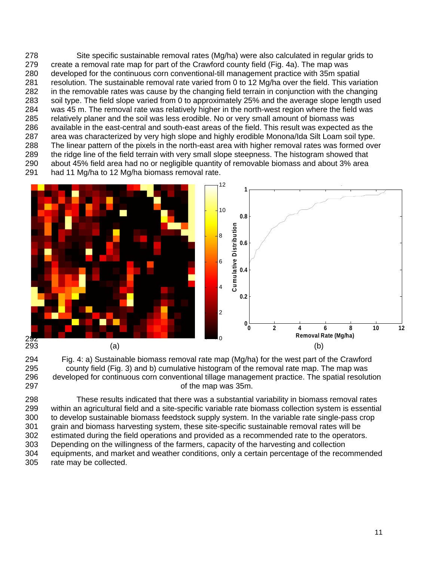278 Site specific sustainable removal rates (Mg/ha) were also calculated in regular grids to 279 create a removal rate map for part of the Crawford county field (Fig. 4a). The map was 280 developed for the continuous corn conventional-till management practice with 35m spatial 281 resolution. The sustainable removal rate varied from 0 to 12 Mg/ha over the field. This variation 282 in the removable rates was cause by the changing field terrain in conjunction with the changing 283 soil type. The field slope varied from 0 to approximately 25% and the average slope length used 284 was 45 m. The removal rate was relatively higher in the north-west region where the field was 285 relatively planer and the soil was less erodible. No or very small amount of biomass was 286 available in the east-central and south-east areas of the field. This result was expected as the 287 area was characterized by very high slope and highly erodible Monona/Ida Silt Loam soil type. 288 The linear pattern of the pixels in the north-east area with higher removal rates was formed over 289 the ridge line of the field terrain with very small slope steepness. The histogram showed that 290 about 45% field area had no or negligible quantity of removable biomass and about 3% area 291 had 11 Mg/ha to 12 Mg/ha biomass removal rate.





298 These results indicated that there was a substantial variability in biomass removal rates 299 within an agricultural field and a site-specific variable rate biomass collection system is essential 300 to develop sustainable biomass feedstock supply system. In the variable rate single-pass crop 301 grain and biomass harvesting system, these site-specific sustainable removal rates will be 302 estimated during the field operations and provided as a recommended rate to the operators. 303 Depending on the willingness of the farmers, capacity of the harvesting and collection 304 equipments, and market and weather conditions, only a certain percentage of the recommended 305 rate may be collected.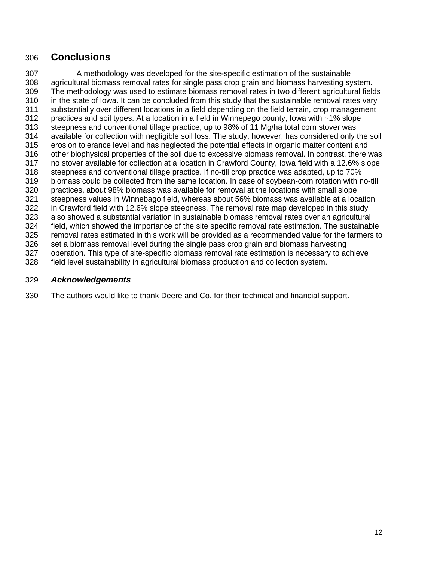## 306 **Conclusions**

307 A methodology was developed for the site-specific estimation of the sustainable 308 agricultural biomass removal rates for single pass crop grain and biomass harvesting system. 309 The methodology was used to estimate biomass removal rates in two different agricultural fields 310 in the state of Iowa. It can be concluded from this study that the sustainable removal rates vary 311 substantially over different locations in a field depending on the field terrain, crop management 312 practices and soil types. At a location in a field in Winnepego county, Iowa with ~1% slope 313 steepness and conventional tillage practice, up to 98% of 11 Mg/ha total corn stover was 314 available for collection with negligible soil loss. The study, however, has considered only the soil 315 erosion tolerance level and has neglected the potential effects in organic matter content and 316 other biophysical properties of the soil due to excessive biomass removal. In contrast, there was 317 no stover available for collection at a location in Crawford County, Iowa field with a 12.6% slope 318 steepness and conventional tillage practice. If no-till crop practice was adapted, up to 70% 319 biomass could be collected from the same location. In case of soybean-corn rotation with no-till 320 practices, about 98% biomass was available for removal at the locations with small slope 321 steepness values in Winnebago field, whereas about 56% biomass was available at a location 322 in Crawford field with 12.6% slope steepness. The removal rate map developed in this study 323 also showed a substantial variation in sustainable biomass removal rates over an agricultural 324 field, which showed the importance of the site specific removal rate estimation. The sustainable 325 removal rates estimated in this work will be provided as a recommended value for the farmers to 326 set a biomass removal level during the single pass crop grain and biomass harvesting 327 operation. This type of site-specific biomass removal rate estimation is necessary to achieve<br>328 field level sustainability in agricultural biomass production and collection system. field level sustainability in agricultural biomass production and collection system.

### 329 *Acknowledgements*

330 The authors would like to thank Deere and Co. for their technical and financial support.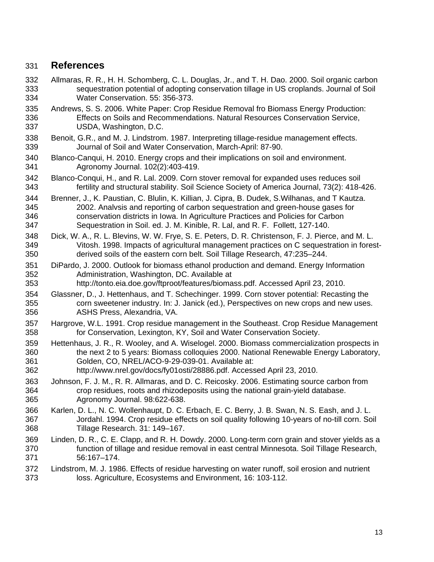## 331 **References**

- 332 Allmaras, R. R., H. H. Schomberg, C. L. Douglas, Jr., and T. H. Dao. 2000. Soil organic carbon 333 sequestration potential of adopting conservation tillage in US croplands. Journal of Soil 334 Water Conservation. 55: 356-373.
- 335 Andrews, S. S. 2006. White Paper: Crop Residue Removal fro Biomass Energy Production: 336 Effects on Soils and Recommendations. Natural Resources Conservation Service, 337 USDA, Washington, D.C.
- 338 Benoit, G.R., and M. J. Lindstrom. 1987. Interpreting tillage-residue management effects. 339 Journal of Soil and Water Conservation, March-April: 87-90.
- 340 Blanco-Canqui, H. 2010. Energy crops and their implications on soil and environment. 341 Agronomy Journal. 102(2):403-419.
- 342 Blanco-Conqui, H., and R. Lal. 2009. Corn stover removal for expanded uses reduces soil 343 fertility and structural stability. Soil Science Society of America Journal, 73(2): 418-426.
- 344 Brenner, J., K. Paustian, C. Blulin, K. Killian, J. Cipra, B. Dudek, S. Wilhanas, and T Kautza.<br>345 2002. Analysis and reporting of carbon sequestration and green-house gases for 2002. Analvsis and reporting of carbon sequestration and green-house gases for 346 conservation districts in Iowa. In Agriculture Practices and Policies for Carbon 347 Sequestration in Soil. ed. J. M. Kinible, R. Lal, and R. F. Follett, 127-140.
- 348 Dick, W. A., R. L. Blevins, W. W. Frye, S. E. Peters, D. R. Christenson, F. J. Pierce, and M. L. 349 Vitosh. 1998. Impacts of agricultural management practices on C sequestration in forest-350 derived soils of the eastern corn belt. Soil Tillage Research, 47:235–244.
- 351 DiPardo, J. 2000. Outlook for biomass ethanol production and demand. Energy Information 352 Administration, Washington, DC. Available at 353 http://tonto.eia.doe.gov/ftproot/features/biomass.pdf. Accessed April 23, 2010.
- 354 Glassner, D., J. Hettenhaus, and T. Schechinger. 1999. Corn stover potential: Recasting the 355 corn sweetener industry. In: J. Janick (ed.), Perspectives on new crops and new uses. 356 ASHS Press, Alexandria, VA.
- 357 Hargrove, W.L. 1991. Crop residue management in the Southeast. Crop Residue Management 358 for Conservation, Lexington, KY, Soil and Water Conservation Society.
- 359 Hettenhaus, J. R., R. Wooley, and A. Wiselogel. 2000. Biomass commercialization prospects in<br>360 the next 2 to 5 vears: Biomass colloguies 2000. National Renewable Energy Laboratory. the next 2 to 5 years: Biomass colloquies 2000. National Renewable Energy Laboratory, 361 Golden, CO, NREL/ACO-9-29-039-01. Available at: 362 http://www.nrel.gov/docs/fy01osti/28886.pdf. Accessed April 23, 2010.
- 363 Johnson, F. J. M., R. R. Allmaras, and D. C. Reicosky. 2006. Estimating source carbon from 364 crop residues, roots and rhizodeposits using the national grain-yield database. 365 Agronomy Journal. 98:622-638.
- 366 Karlen, D. L., N. C. Wollenhaupt, D. C. Erbach, E. C. Berry, J. B. Swan, N. S. Eash, and J. L. 367 Jordahl. 1994. Crop residue effects on soil quality following 10-years of no-till corn. Soil 368 Tillage Research. 31: 149–167.
- 369 Linden, D. R., C. E. Clapp, and R. H. Dowdy. 2000. Long-term corn grain and stover yields as a 370 function of tillage and residue removal in east central Minnesota. Soil Tillage Research, 371 56:167–174.
- 372 Lindstrom, M. J. 1986. Effects of residue harvesting on water runoff, soil erosion and nutrient 373 loss. Agriculture, Ecosystems and Environment, 16: 103-112.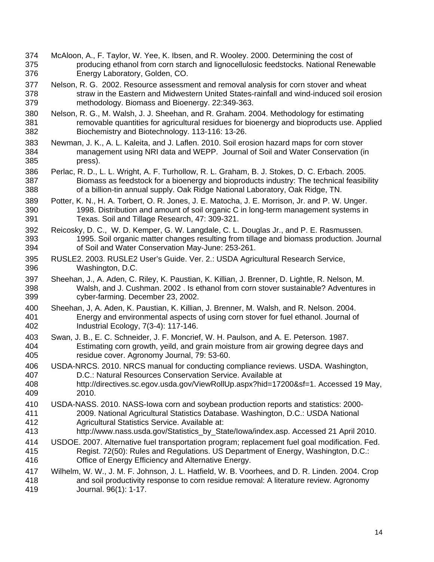- 374 McAloon, A., F. Taylor, W. Yee, K. Ibsen, and R. Wooley. 2000. Determining the cost of 375 producing ethanol from corn starch and lignocellulosic feedstocks. National Renewable 376 Energy Laboratory, Golden, CO.
- 377 Nelson, R. G. 2002. Resource assessment and removal analysis for corn stover and wheat 378 straw in the Eastern and Midwestern United States-rainfall and wind-induced soil erosion 379 methodology. Biomass and Bioenergy. 22:349-363.
- 380 Nelson, R. G., M. Walsh, J. J. Sheehan, and R. Graham. 2004. Methodology for estimating 381 removable quantities for agricultural residues for bioenergy and bioproducts use. Applied 382 Biochemistry and Biotechnology. 113-116: 13-26.
- 383 Newman, J. K., A. L. Kaleita, and J. Laflen. 2010. Soil erosion hazard maps for corn stover 384 management using NRI data and WEPP. Journal of Soil and Water Conservation (in press).
- 386 Perlac, R. D., L. L. Wright, A. F. Turhollow, R. L. Graham, B. J. Stokes, D. C. Erbach. 2005. 387 Biomass as feedstock for a bioenergy and bioproducts industry: The technical feasibility 388 of a billion-tin annual supply. Oak Ridge National Laboratory, Oak Ridge, TN.
- 389 Potter, K. N., H. A. Torbert, O. R. Jones, J. E. Matocha, J. E. Morrison, Jr. and P. W. Unger. 390 1998. Distribution and amount of soil organic C in long-term management systems in 391 Texas. Soil and Tillage Research, 47: 309-321.
- 392 Reicosky, D. C., W. D. Kemper, G. W. Langdale, C. L. Douglas Jr., and P. E. Rasmussen. 393 1995. Soil organic matter changes resulting from tillage and biomass production. Journal 394 of Soil and Water Conservation May-June: 253-261.
- 395 RUSLE2. 2003. RUSLE2 User's Guide. Ver. 2.: USDA Agricultural Research Service, 396 Washington, D.C.
- 397 Sheehan, J., A. Aden, C. Riley, K. Paustian, K. Killian, J. Brenner, D. Lightle, R. Nelson, M. 398 Walsh, and J. Cushman. 2002 . Is ethanol from corn stover sustainable? Adventures in 399 cyber-farming. December 23, 2002.
- 400 Sheehan, J, A. Aden, K. Paustian, K. Killian, J. Brenner, M. Walsh, and R. Nelson. 2004. 401 Energy and environmental aspects of using corn stover for fuel ethanol. Journal of 402 Industrial Ecology, 7(3-4): 117-146.
- 403 Swan, J. B., E. C. Schneider, J. F. Moncrief, W. H. Paulson, and A. E. Peterson. 1987. 404 Estimating corn growth, yeild, and grain moisture from air growing degree days and 405 residue cover. Agronomy Journal, 79: 53-60.
- 406 USDA-NRCS. 2010. NRCS manual for conducting compliance reviews. USDA. Washington, 407 D.C.: Natural Resources Conservation Service. Available at 408 http://directives.sc.egov.usda.gov/ViewRollUp.aspx?hid=17200&sf=1. Accessed 19 May,
- 409 2010.
- 410 USDA-NASS. 2010. NASS-Iowa corn and soybean production reports and statistics: 2000- 411 2009. National Agricultural Statistics Database. Washington, D.C.: USDA National 412 Agricultural Statistics Service. Available at:
- 413 http://www.nass.usda.gov/Statistics\_by\_State/Iowa/index.asp. Accessed 21 April 2010.
- 414 USDOE. 2007. Alternative fuel transportation program; replacement fuel goal modification. Fed. 415 Regist. 72(50): Rules and Regulations. US Department of Energy, Washington, D.C.: 416 Office of Energy Efficiency and Alternative Energy.

#### 417 Wilhelm, W. W., J. M. F. Johnson, J. L. Hatfield, W. B. Voorhees, and D. R. Linden. 2004. Crop 418 and soil productivity response to corn residue removal: A literature review. Agronomy 419 Journal. 96(1): 1-17.